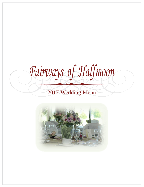*Fairways of Halfmoon*

# Wedding Menu

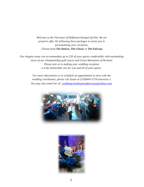*Welcome to the Fairways of Halfmoon banquet facility. We are proud to offer the following three packages to assist you in personalizing your reception. Choose from The Deluxe, The Classic or The Fairway.*

*Our elegant venue can accommodate up to 250 of your guests comfortably with outstanding views of our championship golf course and Green Mountains of Vermont. Please join us in making your wedding reception a truly memorable one for you and all of your guests.*

> *For more information or to schedule an appointment to meet with the wedding coordinator, please call Susan at (518)664-1578 extension 3. You may also email her @ [weddingcoordinatoratfairways@yahoo.com.](mailto:%20weddingcoordinatoratfairways@yahoo.com.)*



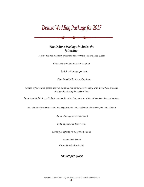# *Deluxe Wedding Package for 2017*

### *The Deluxe Package includes the following:*

*A plated entrée elegantly presented and served to you and your guests* 

*Five hours premium open bar reception*

*Traditional champagne toast* 

*Wine offered table side during dinner*

*Choice of four butler passed and two stationed hot hors d'oeuvres along with a cold hors d'oeuvre display table during the cocktail hour*

*Floor length table linens & chair covers offered in champagne or white with choice of accent napkins* 

*Your choice of two entrées and one vegetarian or one entrée duet plus one vegetarian selection*

*Choice of one appetizer and salad* 

*Wedding cake and dessert table*

*Skirting & lighting on all specialty tables* 

*Private bridal suite*

*Formally attired wait staff*

### *\$85.99 per guest*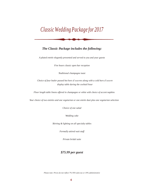# *Classic Wedding Package for 2017*

### *The Classic Package includes the following:*

*A plated entrée elegantly presented and served to you and your guests* 

*Five hours classic open bar reception*

*Traditional champagne toast*

*Choice of four butler passed hot hors d'oeuvres along with a cold hors d'oeuvre display table during the cocktail hour*

*Floor length table linens offered in champagne or white with choice of accent napkins*

*Your choice of two entrées and one vegetarian or one entrée duet plus one vegetarian selection*

*Choice of one salad* 

*Wedding cake*

*Skirting & lighting on all specialty tables*

*Formally attired wait staff*

*Private bridal suite*

### *\$75.99 per guest*

*Please note: Prices do not reflect 7% NYS sales tax or 19% administrative*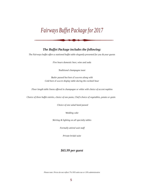# *Fairways Buffet Package for 2017*

### *The Buffet Package includes the following:*

*The Fairways buffet offers a stationed buffet table elegantly presented for you & your guests*

*Five hours domestic beer, wine and soda*

*Traditional champagne toast*

*Butler passed hot hors d'oeuvres along with Cold hors d'oeuvre display table during the cocktail hour*

*Floor length table linens offered in champagne or white with choice of accent napkins* 

*Choice of three buffet entrées, choice of one pasta, Chef's choice of vegetables, potato or grain* 

*Choice of one salad hand passed*

*Wedding cake*

*Skirting & lighting on all specialty tables*

*Formally attired wait staff*

*Private bridal suite*

### *\$65.99 per guest*

*Please note: Prices do not reflect 7% NYS sales tax or 19% administrative*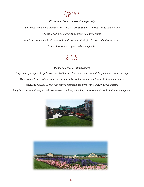## *Appetizers*

### *Please select one: Deluxe Package only*

*Pan seared jumbo lump crab cake with toasted corn salsa and a smoked tomato butter sauce. Cheese tortellini with a wild mushroom bolognese sauce.*

*Heirloom tomato and fresh mozzarella with micro basil, virgin olive oil and balsamic syrup.*

*Lobster bisque with cognac and cream fraiche.*

## *Salads*

### *Please select one: All packages*

*Baby iceberg wedge with apple wood smoked bacon, diced plum tomatoes with Maytag blue cheese dressing. Baby artisan lettuce with julienne carrots, cucumber ribbon, grape tomatoes with champagne honey vinaigrette. Classic Caesar with shaved parmesan, croutons with a creamy garlic dressing. Baby field greens and arugula with goat cheese crumbles, red onion, cucumbers and a white balsamic vinaigrette.*



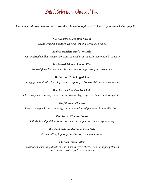## *EntréeSelection -ChoiceofTwo*

*Your choice of two entrees or one entrée duet. In addition please select one vegetarian listed on page 8.*

*Slow Roasted Sliced Beef Sirloin Garlic whipped potatoes, Haricot Vert and Bordelaise sauce*

#### *Braised Boneless Beef Short Ribs*

*Caramelized shallot whipped potatoes, sautéed asparagus, braising liquid reduction*

*Pan Seared Atlantic Salmon Filet Roasted fingerling potatoes, Haricot Vert, orange tarragon butter sauce*

#### *Shrimp and Crab Stuffed Sole*

*Long grain and wild rice pilaf, sautéed asparagus, horseradish chive butter sauce*

#### *Slow Roasted Boneless Pork Loin*

*Chive whipped potatoes, roasted mushroom medley, baby carrots, and natural pan jus*

#### *Half Roasted Chicken*

*Scented with garlic and rosemary, sour cream whipped potatoes, Ratatouille, Jus li'e*

#### *Pan Seared Chicken Breast*

*Shiitake bread pudding, sweet corn succotash, pancetta black pepper gravy*

#### *Maryland Style Jumbo Lump Crab Cake*

*Basmati Rice, Asparagus and bacon, remoulade sauce*

#### *Chicken Cordon Bleu*

*Breast of Chicken stuffed with smoked ham, gruyere cheese, basil whipped potatoes, Haricot Vert roasted garlic cream sauce*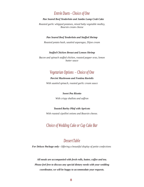### *Entrée Duets - Choice of One*

#### *Pan Seared Beef Tenderloin and Jumbo Lump Crab Cake*

*Roasted garlic whipped potatoes, mixed baby vegetable medley, Boursin cream cheese*

#### *Pan Seared Beef Tenderloin and Stuffed Shrimp*

*Roasted potato hash, sautéed asparagus, Dijon cream*

#### *Stuffed Chicken Breast and Lemon Shrimp*

*Bacon and spinach stuffed chicken, roasted pepper orzo, lemon butter sauce*

### *Vegetarian Options – Choice of One*

### *Porcini Mushroom and Fontina Raviolis*

*With sautéed spinach, roasted garlic cream sauce*

#### *Sweet Pea Risotto*

*With crispy shallots and saffron*

#### *Toasted Barley Pilaf with Apricots*

*With roasted cipollini onions and Boursin cheese.*

### *Choice of Wedding Cake or Cup Cake Bar*

### *DessertTable*

*For Deluxe Package only - Offering a beautiful display of petite confections*

*All meals are accompanied with fresh rolls, butter, coffee and tea. Please feel free to discuss any special dietary needs with your wedding coordinator, we will be happy to accommodate your requests.*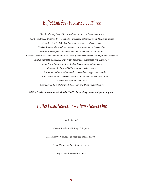## *BuffetEntrées-Please Select Three*

*Sliced Sirloin of Beef with caramelized onions and bordelaise sauce Red Wine Braised Boneless Beef Short ribs with crispy polenta cakes and braising liquids Slow Roasted Beef Brisket, house made mango barbecue sauce Chicken Picatta with sundried tomatoes, capers and lemon buerre blanc Roasted free range whole chicken deconstructed with bacon pan jus Chicken Cordon Bleu, smoked ham and Gruyere stuffed chicken breast with Dijon mustard sauce Chicken Marsala, pan seared with roasted mushrooms, marsala veal demi-glace. Spinach and Fontina stuffed Chicken Breast with Madeira sauce Crab and Scallop stuffed Sole with citrus buerrblanc Pan seared Atlantic salmon with a roasted red pepper marmalade Horse radish and herb crusted Atlantic salmon with chive buerre blanc Shrimp and Scallop Jambalaya Slow roasted Loin of Pork with Rosemary and Dijon mustard sauce*

*All Entrée selections are served with the Chef's choice of vegetables and potato or grains.*

## *Buffet Pasta Selection – Please Select One*

*Fusilli ala vodka*

*Cheese Tortellini with Ragu Bolognese* 

*Orecchiette with sausage and sautéed broccoli rabe*

*Penne Carbonara Baked Mac n' cheese*

*Rigatoni with Pomodoro Sauce*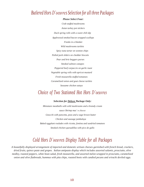### *Butlered Hors D'oeuvres Selection for all three Packages*

*Please Select Four: Crab stuffed mushrooms Asian turkey pot stickers Duck spring rolls with a sweet chili dip Applewood smoked bacon wrapped scallops Franks in a blanket Wild mushrooms tartlets Spicy tuna tartar on wonton chips Pulled pork sliders on cheddar biscuits Pear and brie beggars purses Smoked salmon canapes Peppered beef carpaccio on garlic toast Vegetable spring rolls with apricot mustard Fresh mozzarella stuffed tomatoes Caramelized onion and goat cheese tartlets Seasame chicken satays*

## *Choice of Two Stationed Hot Hors D'oeuvres*

*Selection for Deluxe Package Only:*

*Miniature meatballs with wild mushrooms and a brandy cream sauce Shrimp mac' n cheese Gnocchi with pancetta, peas and a sage brown butter Chicken and sausage jambalaya Baked eggplant roulades with ricotta, fontina and sundried tomatoes Smoked chicken quesadillas with pico de gallo*

## *Cold Hors D'oeuvres Display Table for all Packages*

*A beautifully displayed arrangement of imported and domestic artisan cheeses garnished with french bread, crackers, dried fruits, quince paste and grapes. Italian antipasto display which includes assorted salamis, prosciutto, olive medley, roasted peppers, white bean salad, fresh mozzarella, and assorted melon wrapped in prosciutto, caramelized onion and olive flatbreads, hummus with pita chips, roasted beets with candied pecans and srirachi deviled eggs.*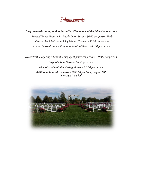## *Enhancements*

*Chef attended carving station for buffet. Choose one of the following selections:*

*Roasted Turkey Breast with Maple Dijon Sauce - \$6.00 per person Herb Crusted Pork Loin with Spicy Mango Chutney - \$6.00 per person Oscars Smoked Ham with Apricot Mustard Sauce - \$8.00 per person*

*Dessert Table offering a beautiful display of petite confections - \$8.00 per person Elegant Chair Covers - \$6.00 per chair Wine offered tableside during dinner - \$ 6.00 per person Additional hour of room use - \$600.00 per hour, no food OR beverages included.*

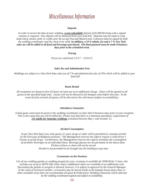## *Miscellaneous Information*

#### *Deposits*

*In order to secure the date of your wedding, a non-refundable deposit of \$1,000.00 along with a signed contract is required. Your deposit will be deducted from your final bill. Deposits may be made in cash, bank check, money order or credit card. We accept Visa and MasterCard. Contracts must be signed by both the wedding coordinator and the client to be valid. In addition, a 19 % admin. fee and a 7 % New York sales tax will be added to all food and beverages purchased. The final payment must be made 8 business days prior to the scheduled event.*

*Pricing*

*Prices are valid from 1/1/17 – 12/31/17.* 

#### *Sales Tax and Administrative Fees*

*Weddings are subject to a New York State sales tax of 7 % and administrative fee of 19% which will be added to your final bill.*

#### *Room Rental*

*All receptions are based on five (5) hours of room use at no additional charge. Doors will be opened to all guests at the specified begin time. Guests will not be allowed in the banquet room before this time. In the event of early arrivals all quests will be directed to the club house (subject to availability).*

#### *Attendance Guarantee*

*A final guest count must be given to the wedding coordinator no later than 9 business days prior to your reception. This is the count that you will be billed for. Please note that there is a minimum attendance requirement of 125 adults for Saturday weddings scheduled between May 1 and October 31.*

#### *Alcohol Consumption*

*As per New York State Law, only guests 21 years of age or older will be permitted to consume alcohol on the Fairways of Halfmoon premises. The Management reserves the right to require a valid driver's license as proof of age. Furthermore, the Management reserves the right to terminate the consumption of alcoholic beverages on an individual basis. Beverage glasses are not permitted on the dance floor. Pitchers of beer or shots will not be served. Alcohol is not permitted to be brought into the building at any time.*

#### *Ceremonies on the Premises*

*Use of our wedding gazebo or wedding pergola for your ceremony is available for \$300.00 for ½ hour, this includes use of up to SIXTY (60) white chairs, (additional chairs are available at an additional cost). Decorating the gazebo or pergola is allowed, however, it is subject to approval by the General Manager. In the event of inclement weather, ceremonies may be moved inside to the banquet house dance floor or other available areas that can accommodate all guest & bridal party. Wedding rehearsals will be directed by the wedding coordinator/captain and subject to availability.*